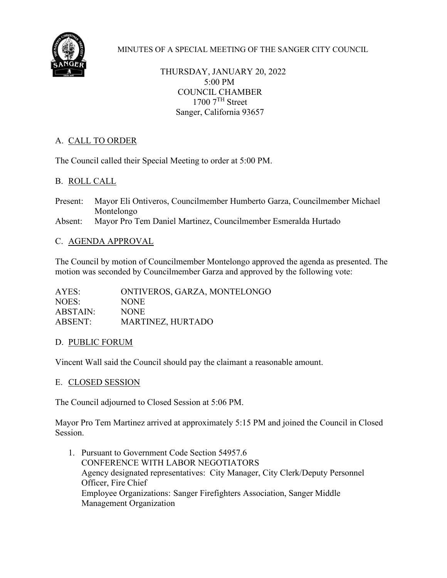

MINUTES OF A SPECIAL MEETING OF THE SANGER CITY COUNCIL

THURSDAY, JANUARY 20, 2022 5:00 PM COUNCIL CHAMBER  $1700$   $7<sup>TH</sup>$  Street Sanger, California 93657

# A. CALL TO ORDER

The Council called their Special Meeting to order at 5:00 PM.

## B. ROLL CALL

Present: Mayor Eli Ontiveros, Councilmember Humberto Garza, Councilmember Michael Montelongo Absent: Mayor Pro Tem Daniel Martinez, Councilmember Esmeralda Hurtado

### C. AGENDA APPROVAL

The Council by motion of Councilmember Montelongo approved the agenda as presented. The motion was seconded by Councilmember Garza and approved by the following vote:

| AYES:    | ONTIVEROS, GARZA, MONTELONGO |
|----------|------------------------------|
| NOES:    | <b>NONE</b>                  |
| ABSTAIN: | NONE.                        |
| ABSENT:  | MARTINEZ, HURTADO            |

### D. PUBLIC FORUM

Vincent Wall said the Council should pay the claimant a reasonable amount.

### E. CLOSED SESSION

The Council adjourned to Closed Session at 5:06 PM.

Mayor Pro Tem Martinez arrived at approximately 5:15 PM and joined the Council in Closed Session.

1. Pursuant to Government Code Section 54957.6 CONFERENCE WITH LABOR NEGOTIATORS Agency designated representatives: City Manager, City Clerk/Deputy Personnel Officer, Fire Chief Employee Organizations: Sanger Firefighters Association, Sanger Middle Management Organization